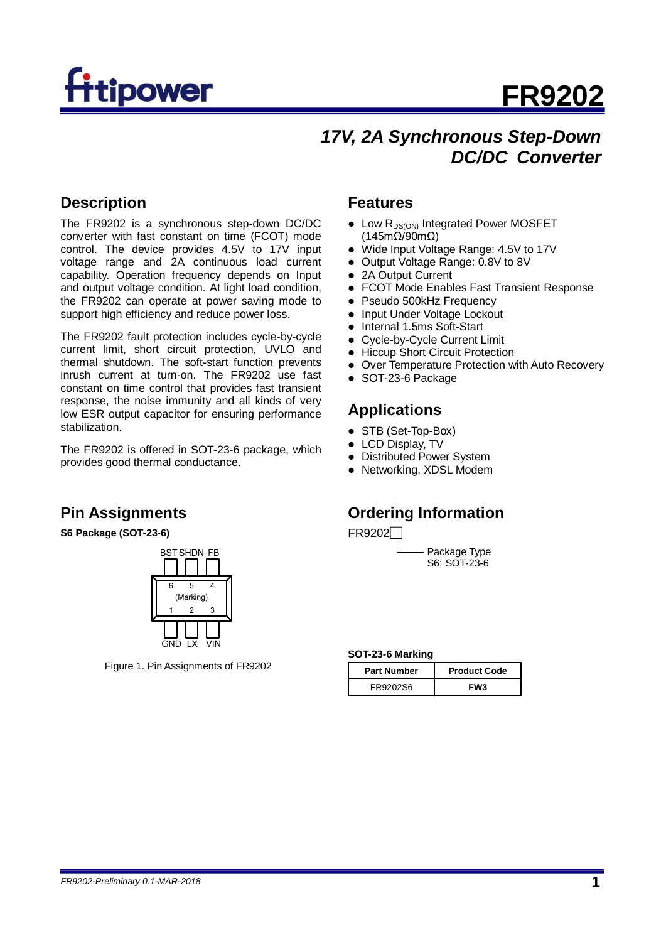

## **17V, 2A Synchronous Step-Down** *DC/DC Converter*

## **Description**

The FR9202 is a synchronous step-down DC/DC converter with fast constant on time (FCOT) mode control. The device provides 4.5V to 17V input voltage range and 2A continuous load current capability. Operation frequency depends on Input and output voltage condition. At light load condition, the FR9202 can operate at power saving mode to support high efficiency and reduce power loss.

The FR9202 fault protection includes cycle-by-cycle current limit, short circuit protection, UVLO and thermal shutdown. The soft-start function prevents inrush current at turn-on. The FR9202 use fast constant on time control that provides fast transient response, the noise immunity and all kinds of very low ESR output capacitor for ensuring performance stabilization.

The FR9202 is offered in SOT-23-6 package, which provides good thermal conductance.

## **Pin Assignments**

**S6 Package (SOT-23-6)**



Figure 1. Pin Assignments of FR9202

#### **Features**

- Low R<sub>DS(ON)</sub> Integrated Power MOSFET (145mΩ/90mΩ)
- Wide Input Voltage Range: 4.5V to 17V
- Output Voltage Range: 0.8V to 8V
- 2A Output Current
- FCOT Mode Enables Fast Transient Response
- Pseudo 500kHz Frequency
- Input Under Voltage Lockout
- Internal 1.5ms Soft-Start
- Cycle-by-Cycle Current Limit
- Hiccup Short Circuit Protection
- Over Temperature Protection with Auto Recovery
- SOT-23-6 Package

## **Applications**

- STB (Set-Top-Box)
- LCD Display, TV
- Distributed Power System
- Networking, XDSL Modem

## **Ordering Information**

FR9202□

Package Type S6: SOT-23-6

#### **SOT-23-6 Marking**

| <b>Part Number</b> | <b>Product Code</b> |  |
|--------------------|---------------------|--|
| FR9202S6           | FW3                 |  |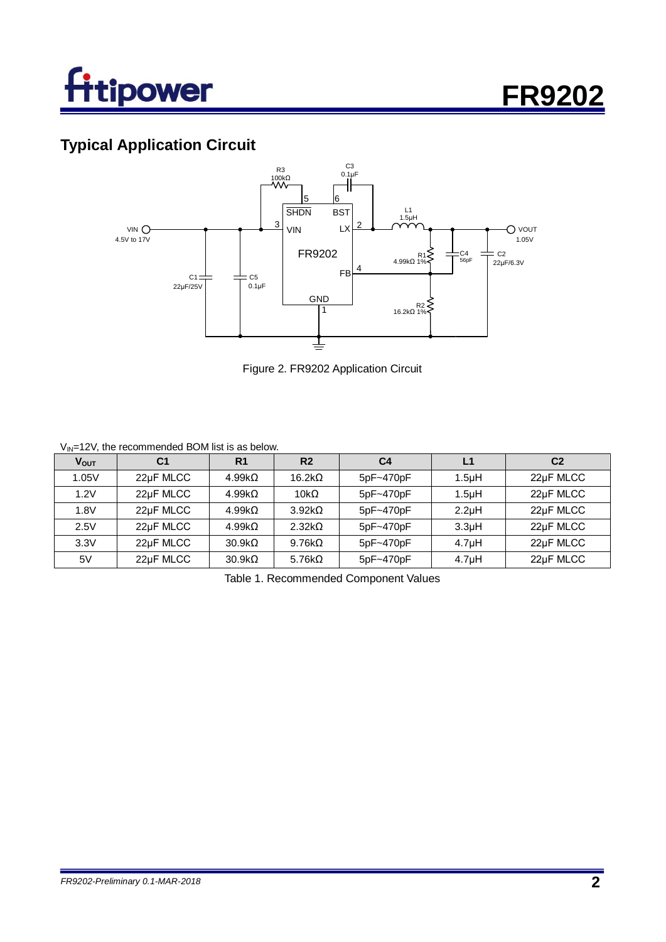

## **Typical Application Circuit**



Figure 2. FR9202 Application Circuit

#### $V_{\text{IN}}$ =12V, the recommended BOM list is as below.

| <b>V</b> <sub>OUT</sub> | C <sub>1</sub> | R <sub>1</sub>     | R <sub>2</sub> | C <sub>4</sub> | L1                 | C <sub>2</sub> |
|-------------------------|----------------|--------------------|----------------|----------------|--------------------|----------------|
| 1.05V                   | 22uF MLCC      | 4.99k <sub>0</sub> | 16.2k $\Omega$ | 5pF~470pF      | 1.5 <sub>µ</sub> H | 22µF MLCC      |
| 1.2V                    | 22µF MLCC      | 4.99k <sub>0</sub> | 10k $\Omega$   | 5pF~470pF      | 1.5 <sub>µ</sub> H | 22µF MLCC      |
| 1.8V                    | 22uF MLCC      | $4.99k\Omega$      | $3.92k\Omega$  | 5pF~470pF      | 2.2 <sub>u</sub> H | 22uF MLCC      |
| 2.5V                    | 22µF MLCC      | $4.99k\Omega$      | $2.32k\Omega$  | 5pF~470pF      | 3.3 <sub>µ</sub> H | 22µF MLCC      |
| 3.3V                    | 22µF MLCC      | $30.9k\Omega$      | $9.76k\Omega$  | 5pF~470pF      | 4.7 <sub>µ</sub> H | 22µF MLCC      |
| 5V                      | 22uF MLCC      | $30.9k\Omega$      | 5.76 $k\Omega$ | 5pF~470pF      | 4.7 <sub>µ</sub> H | 22µF MLCC      |

Table 1. Recommended Component Values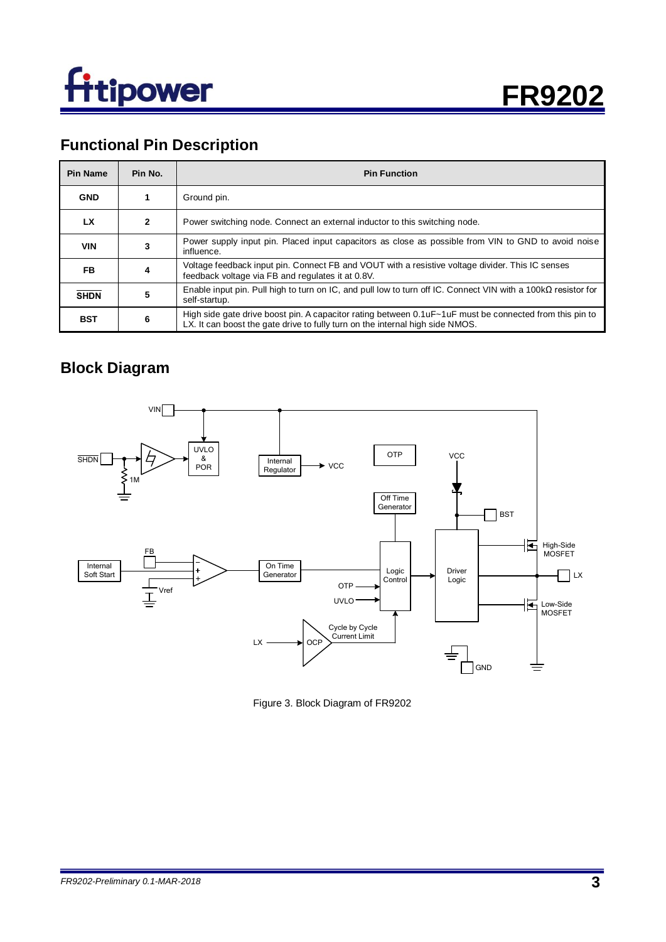



## **Functional Pin Description**

| Pin Name    | Pin No.      | <b>Pin Function</b>                                                                                                                                                                      |
|-------------|--------------|------------------------------------------------------------------------------------------------------------------------------------------------------------------------------------------|
| <b>GND</b>  |              | Ground pin.                                                                                                                                                                              |
| LX          | $\mathbf{2}$ | Power switching node. Connect an external inductor to this switching node.                                                                                                               |
| <b>VIN</b>  | 3            | Power supply input pin. Placed input capacitors as close as possible from VIN to GND to avoid noise<br>influence.                                                                        |
| FB.         | 4            | Voltage feedback input pin. Connect FB and VOUT with a resistive voltage divider. This IC senses<br>feedback voltage via FB and regulates it at 0.8V.                                    |
| <b>SHDN</b> | 5            | Enable input pin. Pull high to turn on IC, and pull low to turn off IC. Connect VIN with a 100k $\Omega$ resistor for<br>self-startup.                                                   |
| <b>BST</b>  | 6            | High side gate drive boost pin. A capacitor rating between 0.1uF~1uF must be connected from this pin to<br>LX. It can boost the gate drive to fully turn on the internal high side NMOS. |

## **Block Diagram**



Figure 3. Block Diagram of FR9202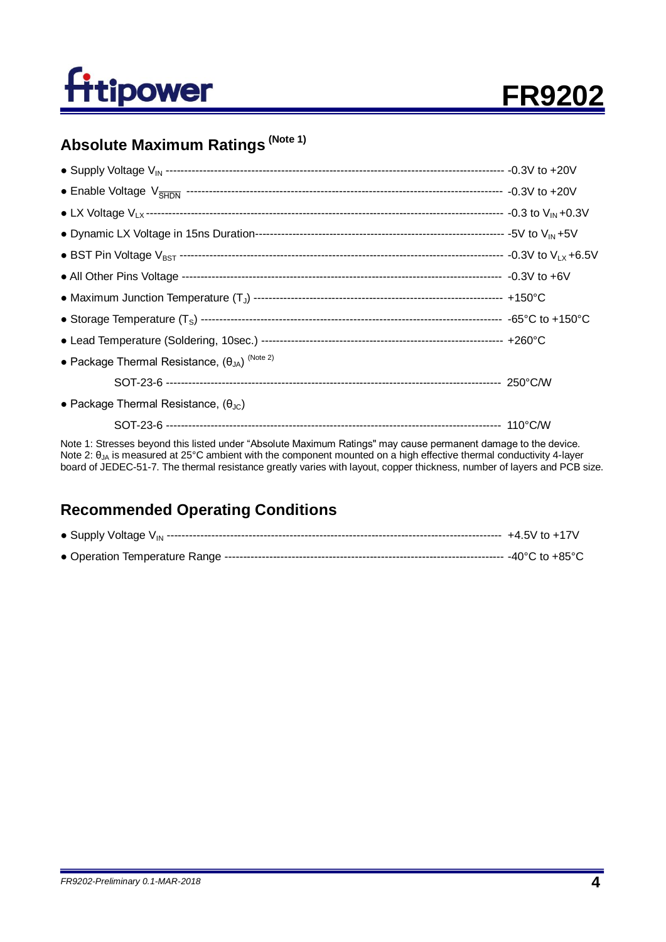

## **Absolute Maximum Ratings (Note 1)**

| • Package Thermal Resistance, $(\theta_{JA})^{(Note 2)}$ |  |
|----------------------------------------------------------|--|
|                                                          |  |
| • Package Thermal Resistance, $(\theta_{\text{JC}})$     |  |
|                                                          |  |

Note 1: Stresses beyond this listed under "Absolute Maximum Ratings" may cause permanent damage to the device. Note 2: θ<sub>JA</sub> is measured at 25°C ambient with the component mounted on a high effective thermal conductivity 4-layer board of JEDEC-51-7. The thermal resistance greatly varies with layout, copper thickness, number of layers and PCB size.

## **Recommended Operating Conditions**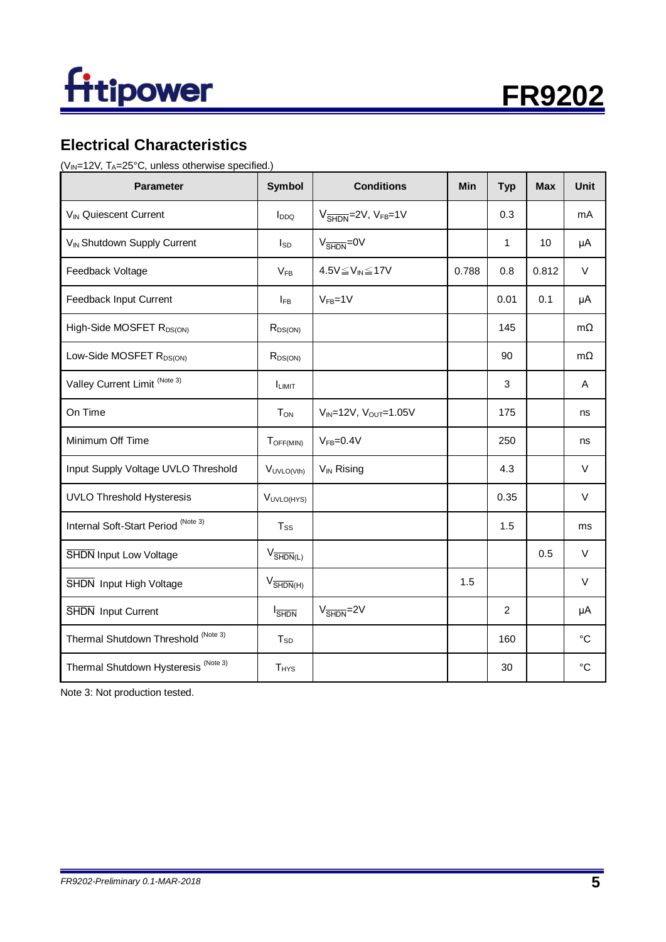



## **Electrical Characteristics**

( $V_{IN}$ =12V, T<sub>A</sub>=25°C, unless otherwise specified.)

| <b>Parameter</b>                                | <b>Symbol</b>                   | <b>Conditions</b>                                     | <b>Min</b> | <b>Typ</b>     | <b>Max</b> | <b>Unit</b>     |
|-------------------------------------------------|---------------------------------|-------------------------------------------------------|------------|----------------|------------|-----------------|
| VIN Quiescent Current                           | I <sub>DDQ</sub>                | $V_{\overline{\text{SHDN}}}$ =2V, V <sub>FB</sub> =1V |            | 0.3            |            | mA              |
| V <sub>IN</sub> Shutdown Supply Current         | $I_{SD}$                        | $V_{\overline{\text{SHDN}}} = 0V$                     |            | 1              | 10         | μA              |
| Feedback Voltage                                | $V_{FB}$                        | $4.5V \leq V_{IN} \leq 17V$                           | 0.788      | 0.8            | 0.812      | $\vee$          |
| Feedback Input Current                          | $I_{FB}$                        | $V_{FB} = 1V$                                         |            | 0.01           | 0.1        | μA              |
| High-Side MOSFET R <sub>DS(ON)</sub>            | $R_{DS(ON)}$                    |                                                       |            | 145            |            | $m\Omega$       |
| Low-Side MOSFET R <sub>DS(ON)</sub>             | $R_{DS(ON)}$                    |                                                       |            | 90             |            | $m\Omega$       |
| Valley Current Limit <sup>(Note 3)</sup>        | <b>ILIMIT</b>                   |                                                       |            | 3              |            | Α               |
| On Time                                         | <b>TON</b>                      | $V_{IN}$ =12V, $V_{OUT}$ =1.05V                       |            | 175            |            | ns              |
| Minimum Off Time                                | $T_{OFF(MIN)}$                  | $VFB=0.4V$                                            |            | 250            |            | ns              |
| Input Supply Voltage UVLO Threshold             | VUVLO(Vth)                      | V <sub>IN</sub> Rising                                |            | 4.3            |            | $\vee$          |
| <b>UVLO Threshold Hysteresis</b>                | VUVLO(HYS)                      |                                                       |            | 0.35           |            | $\vee$          |
| Internal Soft-Start Period (Note 3)             | $T_{SS}$                        |                                                       |            | 1.5            |            | ms              |
| <b>SHDN</b> Input Low Voltage                   | $V_{\overline{\text{SHDN}}(L)}$ |                                                       |            |                | 0.5        | $\vee$          |
| SHDN Input High Voltage                         | $V_{\overline{\text{SHDN}}(H)}$ |                                                       | 1.5        |                |            | $\vee$          |
| SHDN Input Current                              | <b>I</b> SHDN                   | $V_{\overline{\text{SHDN}}} = 2V$                     |            | $\overline{2}$ |            | μA              |
| Thermal Shutdown Threshold (Note 3)             | $T_{SD}$                        |                                                       |            | 160            |            | $^{\circ}C$     |
| Thermal Shutdown Hysteresis <sup>(Note 3)</sup> | <b>T</b> <sub>HYS</sub>         |                                                       |            | 30             |            | $\rm ^{\circ}C$ |

Note 3: Not production tested.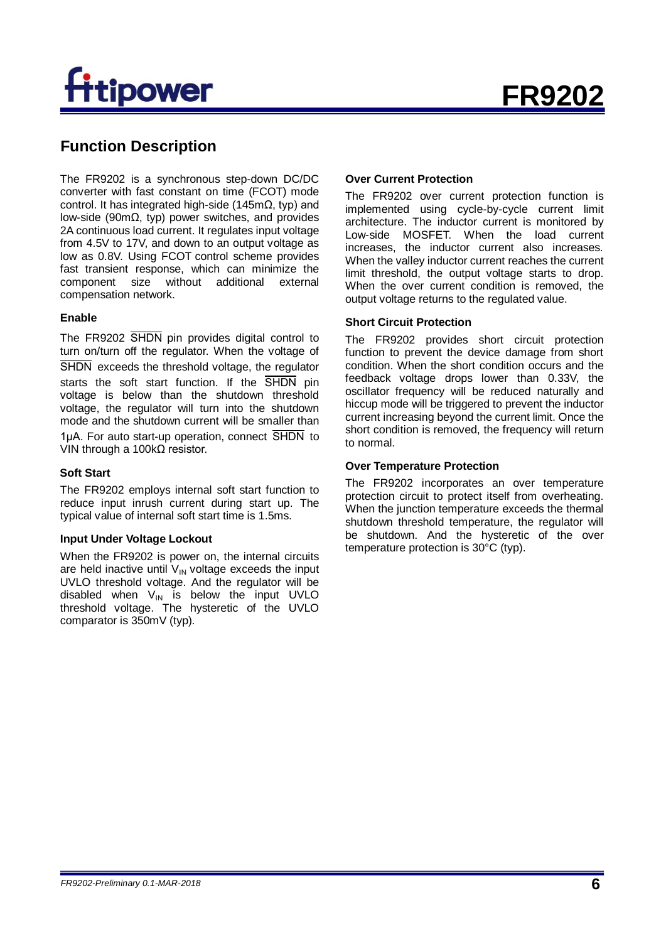# tipower

## **Function Description**

The FR9202 is a synchronous step-down DC/DC converter with fast constant on time (FCOT) mode control. It has integrated high-side (145m $Ω$ , typ) and low-side (90mΩ, typ) power switches, and provides 2A continuous load current. It regulates input voltage from 4.5V to 17V, and down to an output voltage as low as 0.8V. Using FCOT control scheme provides fast transient response, which can minimize the component size without additional external compensation network.

#### **Enable**

The FR9202 SHDN pin provides digital control to turn on/turn off the regulator. When the voltage of SHDN exceeds the threshold voltage, the regulator starts the soft start function. If the  $\overline{\text{SHDN}}$  pin voltage is below than the shutdown threshold voltage, the regulator will turn into the shutdown mode and the shutdown current will be smaller than 1uA. For auto start-up operation, connect  $\overline{\text{SHDN}}$  to VIN through a 100kΩ resistor.

#### **Soft Start**

The FR9202 employs internal soft start function to reduce input inrush current during start up. The typical value of internal soft start time is 1.5ms.

#### **Input Under Voltage Lockout**

When the FR9202 is power on, the internal circuits are held inactive until  $V_{IN}$  voltage exceeds the input UVLO threshold voltage. And the regulator will be disabled when  $V_{IN}$  is below the input UVLO threshold voltage. The hysteretic of the UVLO comparator is 350mV (typ).

#### **Over Current Protection**

The FR9202 over current protection function is implemented using cycle-by-cycle current limit architecture. The inductor current is monitored by Low-side MOSFET. When the load current increases, the inductor current also increases. When the valley inductor current reaches the current limit threshold, the output voltage starts to drop. When the over current condition is removed, the output voltage returns to the regulated value.

#### **Short Circuit Protection**

The FR9202 provides short circuit protection function to prevent the device damage from short condition. When the short condition occurs and the feedback voltage drops lower than 0.33V, the oscillator frequency will be reduced naturally and hiccup mode will be triggered to prevent the inductor current increasing beyond the current limit. Once the short condition is removed, the frequency will return to normal.

#### **Over Temperature Protection**

The FR9202 incorporates an over temperature protection circuit to protect itself from overheating. When the junction temperature exceeds the thermal shutdown threshold temperature, the regulator will be shutdown. And the hysteretic of the over temperature protection is 30°C (typ).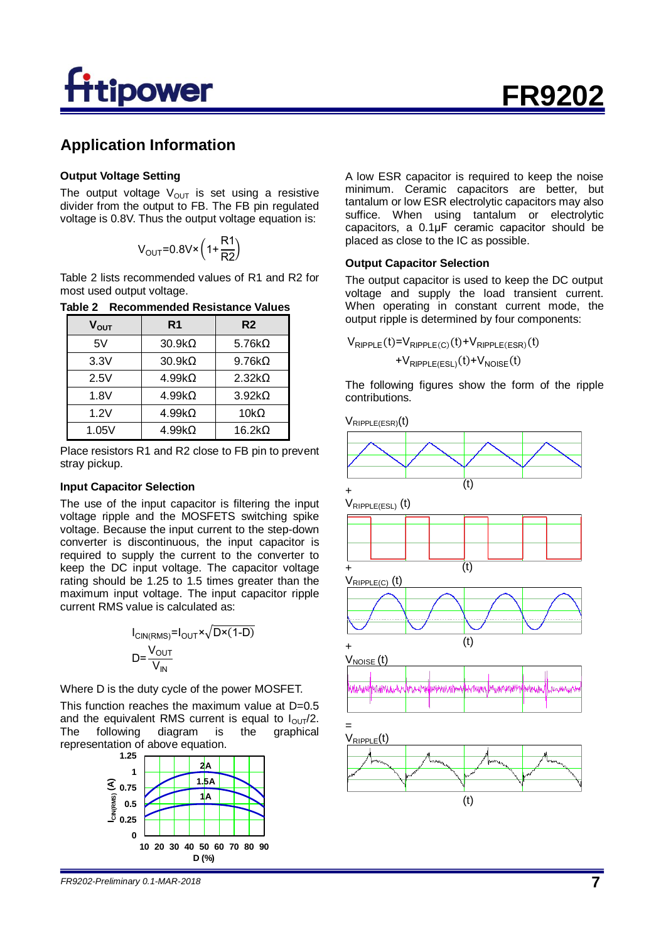# tipower

## **Application Information**

#### **Output Voltage Setting**

The output voltage  $V_{OUT}$  is set using a resistive divider from the output to FB. The FB pin regulated voltage is 0.8V. Thus the output voltage equation is:

$$
V_{OUT} = 0.8V \times \left(1 + \frac{R1}{R2}\right)
$$

Table 2 lists recommended values of R1 and R2 for most used output voltage.

**Table 2 Recommended Resistance Values**

| V <sub>ουτ</sub> | R <sub>1</sub> | R <sub>2</sub> |
|------------------|----------------|----------------|
| 5V               | $30.9k\Omega$  | 5.76 $k\Omega$ |
| 3.3V             | $30.9k\Omega$  | $9.76k\Omega$  |
| 2.5V             | $4.99k\Omega$  | $2.32k\Omega$  |
| 1.8V             | $4.99k\Omega$  | $3.92k\Omega$  |
| 1.2V             | $4.99k\Omega$  | 10 $k\Omega$   |
| 1.05V            | $4.99k\Omega$  | $16.2k\Omega$  |

Place resistors R1 and R2 close to FB pin to prevent stray pickup.

#### **Input Capacitor Selection**

The use of the input capacitor is filtering the input voltage ripple and the MOSFETS switching spike voltage. Because the input current to the step-down converter is discontinuous, the input capacitor is required to supply the current to the converter to keep the DC input voltage. The capacitor voltage rating should be 1.25 to 1.5 times greater than the maximum input voltage. The input capacitor ripple current RMS value is calculated as:

$$
I_{\text{CIN(RMS)}} = I_{\text{OUT}} \times \sqrt{\text{D} \times (1-\text{D})}
$$

$$
\text{D} = \frac{V_{\text{OUT}}}{V_{\text{IN}}}
$$

Where D is the duty cycle of the power MOSFET.

This function reaches the maximum value at D=0.5 and the equivalent RMS current is equal to  $I_{\text{OUT}}/2$ . The following diagram is the graphical representation of above equation.



A low ESR capacitor is required to keep the noise minimum. Ceramic capacitors are better, but tantalum or low ESR electrolytic capacitors may also suffice. When using tantalum or electrolytic capacitors, a 0.1μF ceramic capacitor should be placed as close to the IC as possible.

#### **Output Capacitor Selection**

The output capacitor is used to keep the DC output voltage and supply the load transient current. When operating in constant current mode, the output ripple is determined by four components:

$$
V_{\text{RIPPLE}}(t) = V_{\text{RIPPLE}(C)}(t) + V_{\text{RIPPLE}(ESR)}(t) + V_{\text{RIPPLE}(ESL)}(t) + V_{\text{NOISE}}(t)
$$

The following figures show the form of the ripple contributions.



*FR9202-Preliminary 0.1-MAR-2018* **7**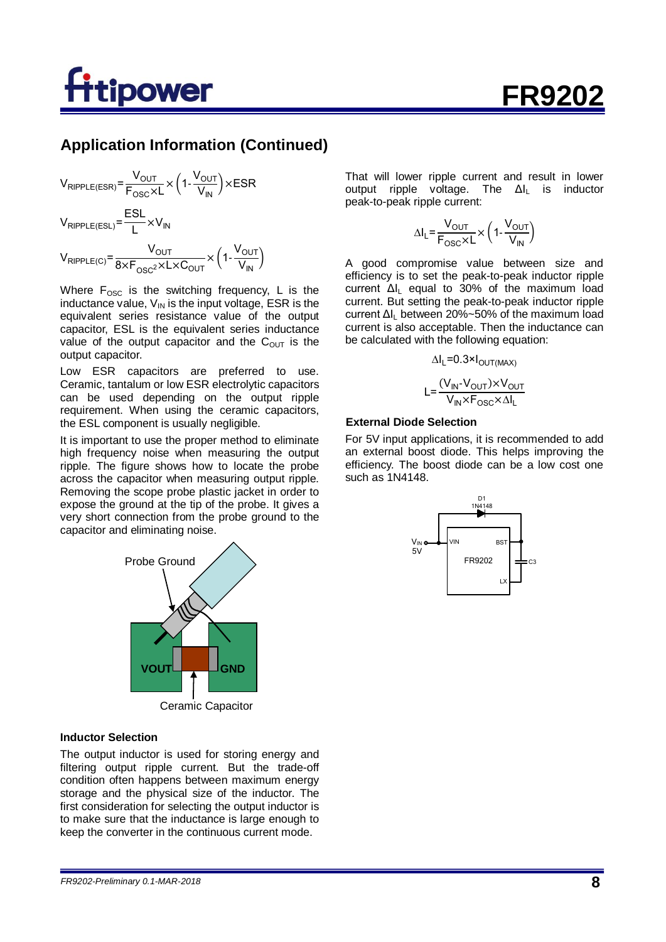# **power**

## **Application Information (Continued)**

$$
V_{RIPPLE(ESR)} = \frac{V_{OUT}}{F_{OSC} \times L} \times \left(1 - \frac{V_{OUT}}{V_{IN}}\right) \times ESR
$$
  

$$
V_{RIPPLE(ESL)} = \frac{ESL}{L} \times V_{IN}
$$
  

$$
V_{RIPPLE(C)} = \frac{V_{OUT}}{8 \times F_{OSC} \times L \times C_{OUT}} \times \left(1 - \frac{V_{OUT}}{V_{IN}}\right)
$$

Where  $F_{\text{OSC}}$  is the switching frequency, L is the inductance value,  $V_{\text{IN}}$  is the input voltage, ESR is the equivalent series resistance value of the output capacitor, ESL is the equivalent series inductance value of the output capacitor and the  $C<sub>OUT</sub>$  is the output capacitor.

Low ESR capacitors are preferred to use. Ceramic, tantalum or low ESR electrolytic capacitors can be used depending on the output ripple requirement. When using the ceramic capacitors, the ESL component is usually negligible.

It is important to use the proper method to eliminate high frequency noise when measuring the output ripple. The figure shows how to locate the probe across the capacitor when measuring output ripple. Removing the scope probe plastic jacket in order to expose the ground at the tip of the probe. It gives a very short connection from the probe ground to the capacitor and eliminating noise.



Ceramic Capacitor

#### **Inductor Selection**

The output inductor is used for storing energy and filtering output ripple current. But the trade-off condition often happens between maximum energy storage and the physical size of the inductor. The first consideration for selecting the output inductor is to make sure that the inductance is large enough to keep the converter in the continuous current mode.

That will lower ripple current and result in lower output ripple voltage. The  $\Delta I_L$  is inductor peak-to-peak ripple current:

$$
\Delta I_{L} = \frac{V_{OUT}}{F_{OSC} \times L} \times \left(1 - \frac{V_{OUT}}{V_{IN}}\right)
$$

A good compromise value between size and efficiency is to set the peak-to-peak inductor ripple current  $\Delta I_1$  equal to 30% of the maximum load current. But setting the peak-to-peak inductor ripple current Δι between 20%~50% of the maximum load current is also acceptable. Then the inductance can be calculated with the following equation:

$$
\Delta I_L = 0.3 \times I_{OUT(MAX)}
$$

$$
L = \frac{(V_{IN} - V_{OUT}) \times V_{OUT}}{V_{IN} \times F_{OSC} \times \Delta I_L}
$$

#### **External Diode Selection**

For 5V input applications, it is recommended to add an external boost diode. This helps improving the efficiency. The boost diode can be a low cost one such as 1N4148.